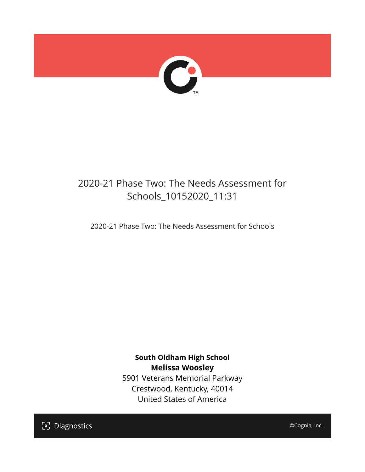

# 2020-21 Phase Two: The Needs Assessment for Schools\_10152020\_11:31

2020-21 Phase Two: The Needs Assessment for Schools

**South Oldham High School Melissa Woosley** 5901 Veterans Memorial Parkway Crestwood, Kentucky, 40014 United States of America

[၁] Diagnostics

©Cognia, Inc.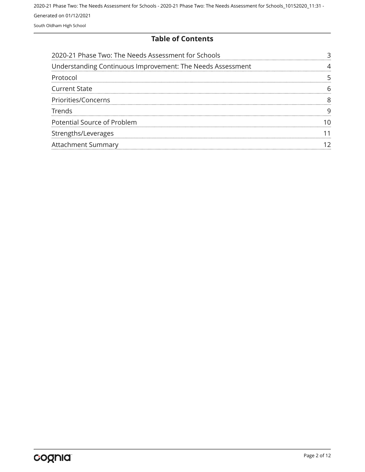#### **Table of Contents**

| 2020-21 Phase Two: The Needs Assessment for Schools        |  |
|------------------------------------------------------------|--|
| Understanding Continuous Improvement: The Needs Assessment |  |
| Protocol                                                   |  |
| <b>Current State</b>                                       |  |
| Priorities/Concerns                                        |  |
| <b>Trends</b>                                              |  |
| Potential Source of Problem                                |  |
| Strengths/Leverages                                        |  |
| <b>Attachment Summary</b>                                  |  |
|                                                            |  |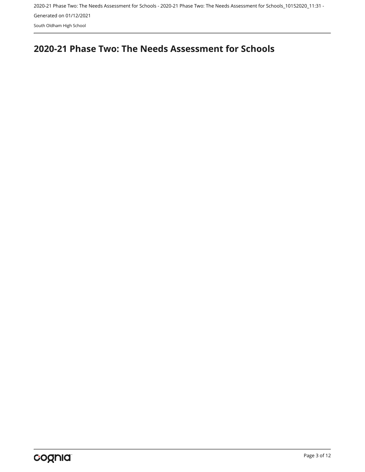South Oldham High School

## <span id="page-2-0"></span>**2020-21 Phase Two: The Needs Assessment for Schools**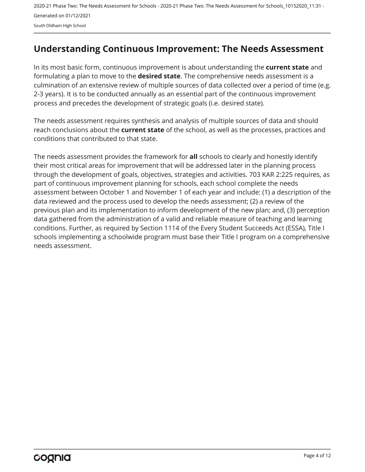## <span id="page-3-0"></span>**Understanding Continuous Improvement: The Needs Assessment**

In its most basic form, continuous improvement is about understanding the **current state** and formulating a plan to move to the **desired state**. The comprehensive needs assessment is a culmination of an extensive review of multiple sources of data collected over a period of time (e.g. 2-3 years). It is to be conducted annually as an essential part of the continuous improvement process and precedes the development of strategic goals (i.e. desired state).

The needs assessment requires synthesis and analysis of multiple sources of data and should reach conclusions about the **current state** of the school, as well as the processes, practices and conditions that contributed to that state.

The needs assessment provides the framework for **all** schools to clearly and honestly identify their most critical areas for improvement that will be addressed later in the planning process through the development of goals, objectives, strategies and activities. 703 KAR 2:225 requires, as part of continuous improvement planning for schools, each school complete the needs assessment between October 1 and November 1 of each year and include: (1) a description of the data reviewed and the process used to develop the needs assessment; (2) a review of the previous plan and its implementation to inform development of the new plan; and, (3) perception data gathered from the administration of a valid and reliable measure of teaching and learning conditions. Further, as required by Section 1114 of the Every Student Succeeds Act (ESSA), Title I schools implementing a schoolwide program must base their Title I program on a comprehensive needs assessment.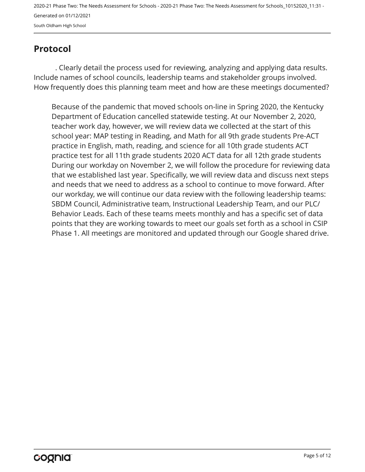## <span id="page-4-0"></span>**Protocol**

. Clearly detail the process used for reviewing, analyzing and applying data results. Include names of school councils, leadership teams and stakeholder groups involved. How frequently does this planning team meet and how are these meetings documented?

Because of the pandemic that moved schools on-line in Spring 2020, the Kentucky Department of Education cancelled statewide testing. At our November 2, 2020, teacher work day, however, we will review data we collected at the start of this school year: MAP testing in Reading, and Math for all 9th grade students Pre-ACT practice in English, math, reading, and science for all 10th grade students ACT practice test for all 11th grade students 2020 ACT data for all 12th grade students During our workday on November 2, we will follow the procedure for reviewing data that we established last year. Specifically, we will review data and discuss next steps and needs that we need to address as a school to continue to move forward. After our workday, we will continue our data review with the following leadership teams: SBDM Council, Administrative team, Instructional Leadership Team, and our PLC/ Behavior Leads. Each of these teams meets monthly and has a specific set of data points that they are working towards to meet our goals set forth as a school in CSIP Phase 1. All meetings are monitored and updated through our Google shared drive.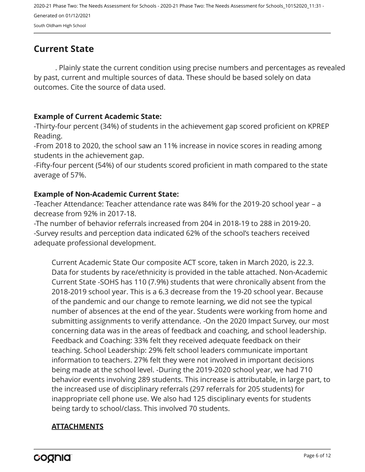## <span id="page-5-0"></span>**Current State**

. Plainly state the current condition using precise numbers and percentages as revealed by past, current and multiple sources of data. These should be based solely on data outcomes. Cite the source of data used.

#### **Example of Current Academic State:**

-Thirty-four percent (34%) of students in the achievement gap scored proficient on KPREP Reading.

-From 2018 to 2020, the school saw an 11% increase in novice scores in reading among students in the achievement gap.

-Fifty-four percent (54%) of our students scored proficient in math compared to the state average of 57%.

#### **Example of Non-Academic Current State:**

-Teacher Attendance: Teacher attendance rate was 84% for the 2019-20 school year – a decrease from 92% in 2017-18.

-The number of behavior referrals increased from 204 in 2018-19 to 288 in 2019-20. -Survey results and perception data indicated 62% of the school's teachers received adequate professional development.

Current Academic State Our composite ACT score, taken in March 2020, is 22.3. Data for students by race/ethnicity is provided in the table attached. Non-Academic Current State -SOHS has 110 (7.9%) students that were chronically absent from the 2018-2019 school year. This is a 6.3 decrease from the 19-20 school year. Because of the pandemic and our change to remote learning, we did not see the typical number of absences at the end of the year. Students were working from home and submitting assignments to verify attendance. -On the 2020 Impact Survey, our most concerning data was in the areas of feedback and coaching, and school leadership. Feedback and Coaching: 33% felt they received adequate feedback on their teaching. School Leadership: 29% felt school leaders communicate important information to teachers. 27% felt they were not involved in important decisions being made at the school level. -During the 2019-2020 school year, we had 710 behavior events involving 289 students. This increase is attributable, in large part, to the increased use of disciplinary referrals (297 referrals for 205 students) for inappropriate cell phone use. We also had 125 disciplinary events for students being tardy to school/class. This involved 70 students.

#### **ATTACHMENTS**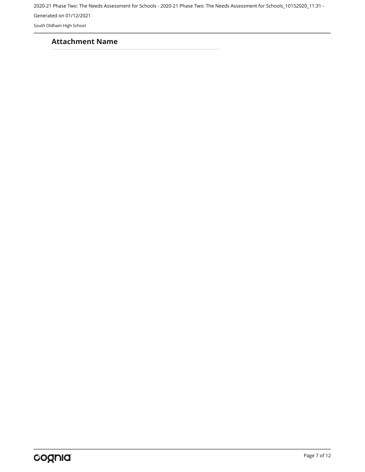2020-21 Phase Two: The Needs Assessment for Schools - 2020-21 Phase Two: The Needs Assessment for Schools\_10152020\_11:31 -

Generated on 01/12/2021

South Oldham High School

#### **Attachment Name**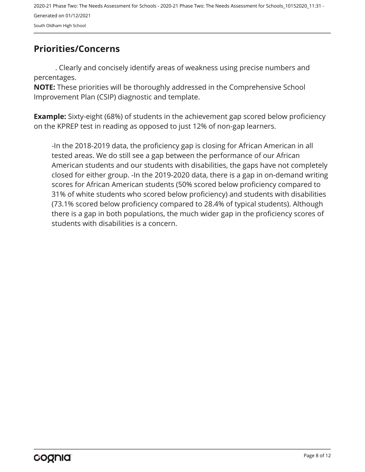## <span id="page-7-0"></span>**Priorities/Concerns**

. Clearly and concisely identify areas of weakness using precise numbers and percentages.

**NOTE:** These priorities will be thoroughly addressed in the Comprehensive School Improvement Plan (CSIP) diagnostic and template.

**Example:** Sixty-eight (68%) of students in the achievement gap scored below proficiency on the KPREP test in reading as opposed to just 12% of non-gap learners.

-In the 2018-2019 data, the proficiency gap is closing for African American in all tested areas. We do still see a gap between the performance of our African American students and our students with disabilities, the gaps have not completely closed for either group. -In the 2019-2020 data, there is a gap in on-demand writing scores for African American students (50% scored below proficiency compared to 31% of white students who scored below proficiency) and students with disabilities (73.1% scored below proficiency compared to 28.4% of typical students). Although there is a gap in both populations, the much wider gap in the proficiency scores of students with disabilities is a concern.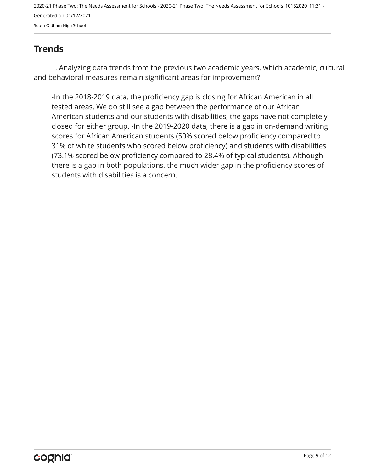## <span id="page-8-0"></span>**Trends**

. Analyzing data trends from the previous two academic years, which academic, cultural and behavioral measures remain significant areas for improvement?

-In the 2018-2019 data, the proficiency gap is closing for African American in all tested areas. We do still see a gap between the performance of our African American students and our students with disabilities, the gaps have not completely closed for either group. -In the 2019-2020 data, there is a gap in on-demand writing scores for African American students (50% scored below proficiency compared to 31% of white students who scored below proficiency) and students with disabilities (73.1% scored below proficiency compared to 28.4% of typical students). Although there is a gap in both populations, the much wider gap in the proficiency scores of students with disabilities is a concern.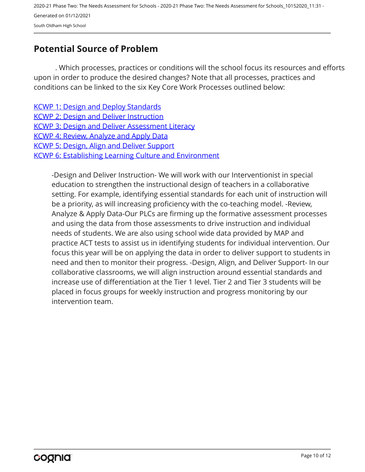## <span id="page-9-0"></span>**Potential Source of Problem**

. Which processes, practices or conditions will the school focus its resources and efforts upon in order to produce the desired changes? Note that all processes, practices and conditions can be linked to the six Key Core Work Processes outlined below:

[KCWP 1: Design and Deploy Standards](https://education.ky.gov/school/csip/Documents/KCWP 1 Strategic Design and Deploy Standards.pdf) [KCWP 2: Design and Deliver Instruction](https://education.ky.gov/school/csip/Documents/KCWP%202%20Strategic%20Design%20and%20Deliver%20Instruction.pdf) [KCWP 3: Design and Deliver Assessment Literacy](https://education.ky.gov/school/csip/Documents/KCWP%203%20Strategic%20Design%20and%20Deliver%20Assessment%20Literacy.pdf) [KCWP 4: Review, Analyze and Apply Data](https://education.ky.gov/school/csip/Documents/KCWP 4 Strategic Review Analyze and Apply Data.pdf) [KCWP 5: Design, Align and Deliver Support](https://education.ky.gov/school/csip/Documents/KCWP 5 Strategic Design Align Deliver Support Processes.pdf) [KCWP 6: Establishing Learning Culture and Environment](https://education.ky.gov/school/csip/Documents/KCWP 6 Strategic Establish Learning Culture and Environment.pdf)

-Design and Deliver Instruction- We will work with our Interventionist in special education to strengthen the instructional design of teachers in a collaborative setting. For example, identifying essential standards for each unit of instruction will be a priority, as will increasing proficiency with the co-teaching model. -Review, Analyze & Apply Data-Our PLCs are firming up the formative assessment processes and using the data from those assessments to drive instruction and individual needs of students. We are also using school wide data provided by MAP and practice ACT tests to assist us in identifying students for individual intervention. Our focus this year will be on applying the data in order to deliver support to students in need and then to monitor their progress. -Design, Align, and Deliver Support- In our collaborative classrooms, we will align instruction around essential standards and increase use of differentiation at the Tier 1 level. Tier 2 and Tier 3 students will be placed in focus groups for weekly instruction and progress monitoring by our intervention team.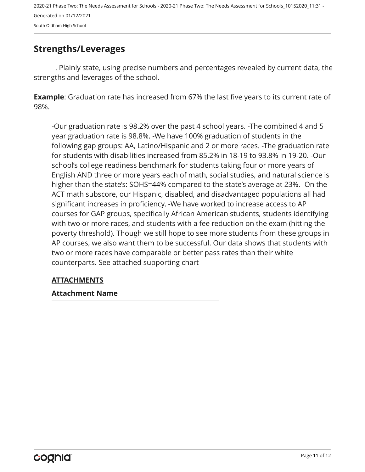### <span id="page-10-0"></span>**Strengths/Leverages**

. Plainly state, using precise numbers and percentages revealed by current data, the strengths and leverages of the school.

**Example**: Graduation rate has increased from 67% the last five years to its current rate of 98%.

-Our graduation rate is 98.2% over the past 4 school years. -The combined 4 and 5 year graduation rate is 98.8%. -We have 100% graduation of students in the following gap groups: AA, Latino/Hispanic and 2 or more races. -The graduation rate for students with disabilities increased from 85.2% in 18-19 to 93.8% in 19-20. -Our school's college readiness benchmark for students taking four or more years of English AND three or more years each of math, social studies, and natural science is higher than the state's: SOHS=44% compared to the state's average at 23%. -On the ACT math subscore, our Hispanic, disabled, and disadvantaged populations all had significant increases in proficiency. -We have worked to increase access to AP courses for GAP groups, specifically African American students, students identifying with two or more races, and students with a fee reduction on the exam (hitting the poverty threshold). Though we still hope to see more students from these groups in AP courses, we also want them to be successful. Our data shows that students with two or more races have comparable or better pass rates than their white counterparts. See attached supporting chart

#### **ATTACHMENTS**

#### **Attachment Name**